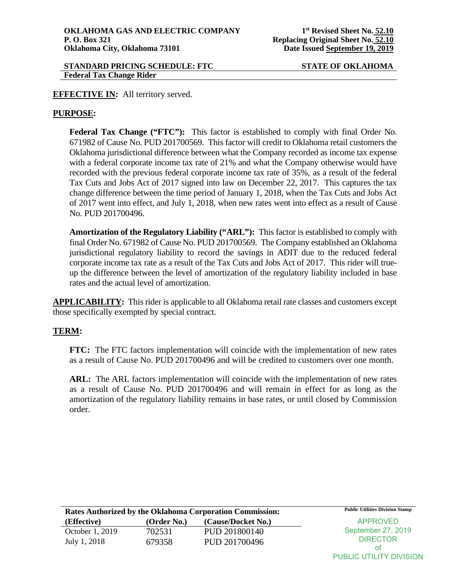PUBLIC UTILITY DIVISION

## **EFFECTIVE IN:** All territory served.

## **PURPOSE:**

**Federal Tax Change ("FTC"):** This factor is established to comply with final Order No. 671982 of Cause No. PUD 201700569. This factor will credit to Oklahoma retail customers the Oklahoma jurisdictional difference between what the Company recorded as income tax expense with a federal corporate income tax rate of 21% and what the Company otherwise would have recorded with the previous federal corporate income tax rate of 35%, as a result of the federal Tax Cuts and Jobs Act of 2017 signed into law on December 22, 2017. This captures the tax change difference between the time period of January 1, 2018, when the Tax Cuts and Jobs Act of 2017 went into effect, and July 1, 2018, when new rates went into effect as a result of Cause No. PUD 201700496.

**Amortization of the Regulatory Liability ("ARL"):** This factor is established to comply with final Order No. 671982 of Cause No. PUD 201700569. The Company established an Oklahoma jurisdictional regulatory liability to record the savings in ADIT due to the reduced federal corporate income tax rate as a result of the Tax Cuts and Jobs Act of 2017. This rider will trueup the difference between the level of amortization of the regulatory liability included in base rates and the actual level of amortization.

**APPLICABILITY:** This rider is applicable to all Oklahoma retail rate classes and customers except those specifically exempted by special contract.

## **TERM:**

**FTC:** The FTC factors implementation will coincide with the implementation of new rates as a result of Cause No. PUD 201700496 and will be credited to customers over one month.

**ARL:** The ARL factors implementation will coincide with the implementation of new rates as a result of Cause No. PUD 201700496 and will remain in effect for as long as the amortization of the regulatory liability remains in base rates, or until closed by Commission order.

| Rates Authorized by the Oklahoma Corporation Commission: |             |                    | <b>Public Utilities Division Stamp</b> |
|----------------------------------------------------------|-------------|--------------------|----------------------------------------|
| (Effective)                                              | (Order No.) | (Cause/Docket No.) | APPROVED                               |
| October 1, 2019                                          | 702531      | PUD 201800140      | September 27, 2019                     |
| July 1, 2018                                             | 679358      | PUD 201700496      | <b>DIRECTOR</b>                        |
|                                                          |             |                    | οt                                     |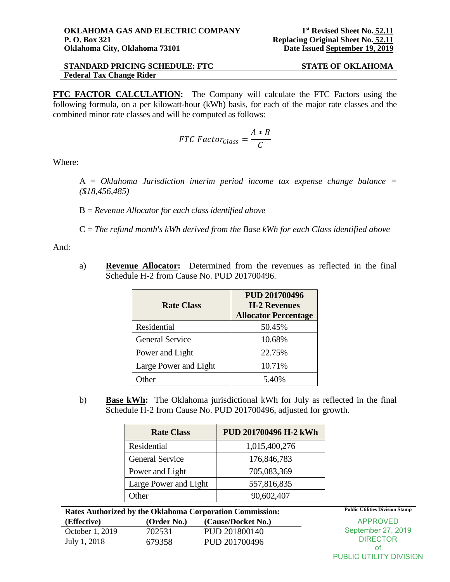PUBLIC UTILITY DIVISION

**FTC FACTOR CALCULATION:** The Company will calculate the FTC Factors using the following formula, on a per kilowatt-hour (kWh) basis, for each of the major rate classes and the combined minor rate classes and will be computed as follows:

$$
FTC\ Factor_{Class} = \frac{A * B}{C}
$$

Where:

A = *Oklahoma Jurisdiction interim period income tax expense change balance = (\$18,456,485)* 

B = *Revenue Allocator for each class identified above*

C = *The refund month's kWh derived from the Base kWh for each Class identified above*

And:

a) **Revenue Allocator:** Determined from the revenues as reflected in the final Schedule H-2 from Cause No. PUD 201700496.

| <b>Rate Class</b>      | <b>PUD 201700496</b><br><b>H-2 Revenues</b> |  |
|------------------------|---------------------------------------------|--|
|                        | <b>Allocator Percentage</b>                 |  |
| Residential            | 50.45%                                      |  |
| <b>General Service</b> | 10.68%                                      |  |
| Power and Light        | 22.75%                                      |  |
| Large Power and Light  | 10.71%                                      |  |
| ther                   | 5.40%                                       |  |

b) **Base kWh:** The Oklahoma jurisdictional kWh for July as reflected in the final Schedule H-2 from Cause No. PUD 201700496, adjusted for growth.

| <b>Rate Class</b>      | PUD 201700496 H-2 kWh |  |
|------------------------|-----------------------|--|
| Residential            | 1,015,400,276         |  |
| <b>General Service</b> | 176,846,783           |  |
| Power and Light        | 705,083,369           |  |
| Large Power and Light  | 557,816,835           |  |
| <b>I</b> ther          | 90,602,407            |  |

| Rates Authorized by the Oklahoma Corporation Commission: |             |                    | <b>Public Utilities Division Stamp</b> |
|----------------------------------------------------------|-------------|--------------------|----------------------------------------|
| (Effective)                                              | (Order No.) | (Cause/Docket No.) | APPROVED                               |
| October 1, 2019                                          | 702531      | PUD 201800140      | September 27, 2019                     |
| July 1, 2018                                             | 679358      | PUD 201700496      | <b>DIRECTOR</b>                        |
|                                                          |             |                    | οt                                     |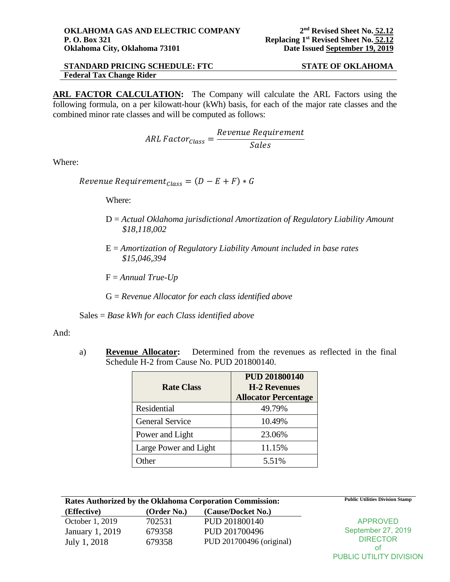**ARL FACTOR CALCULATION:** The Company will calculate the ARL Factors using the following formula, on a per kilowatt-hour (kWh) basis, for each of the major rate classes and the combined minor rate classes and will be computed as follows:

$$
ARL Factor_{Class} = \frac{Revenue\;Required}{Sales}
$$

Where:

Revenue Requirement<sub>Class</sub> =  $(D - E + F) * G$ 

Where:

- D = *Actual Oklahoma jurisdictional Amortization of Regulatory Liability Amount \$18,118,002*
- E = *Amortization of Regulatory Liability Amount included in base rates \$15,046,394*
- F = *Annual True-Up*
- G = *Revenue Allocator for each class identified above*

Sales = *Base kWh for each Class identified above*

And:

a) **Revenue Allocator:** Determined from the revenues as reflected in the final Schedule H-2 from Cause No. PUD 201800140.

| <b>Rate Class</b>      | <b>PUD 201800140</b><br><b>H-2 Revenues</b><br><b>Allocator Percentage</b> |
|------------------------|----------------------------------------------------------------------------|
| Residential            | 49.79%                                                                     |
| <b>General Service</b> | 10.49%                                                                     |
| Power and Light        | 23.06%                                                                     |
| Large Power and Light  | 11.15%                                                                     |
| ther                   | 5.51%                                                                      |

| Rates Authorized by the Oklahoma Corporation Commission: |             |                          | <b>Public Utilities Division Stamp</b> |
|----------------------------------------------------------|-------------|--------------------------|----------------------------------------|
| (Effective)                                              | (Order No.) | (Cause/Docket No.)       |                                        |
| October 1, 2019                                          | 702531      | PUD 201800140            | <b>APPROVED</b>                        |
| January 1, 2019                                          | 679358      | PUD 201700496            | September 27, 2019                     |
| July 1, 2018                                             | 679358      | PUD 201700496 (original) | <b>DIRECTOR</b>                        |
|                                                          |             |                          | Οt                                     |

PUBLIC UTILITY DIVISION